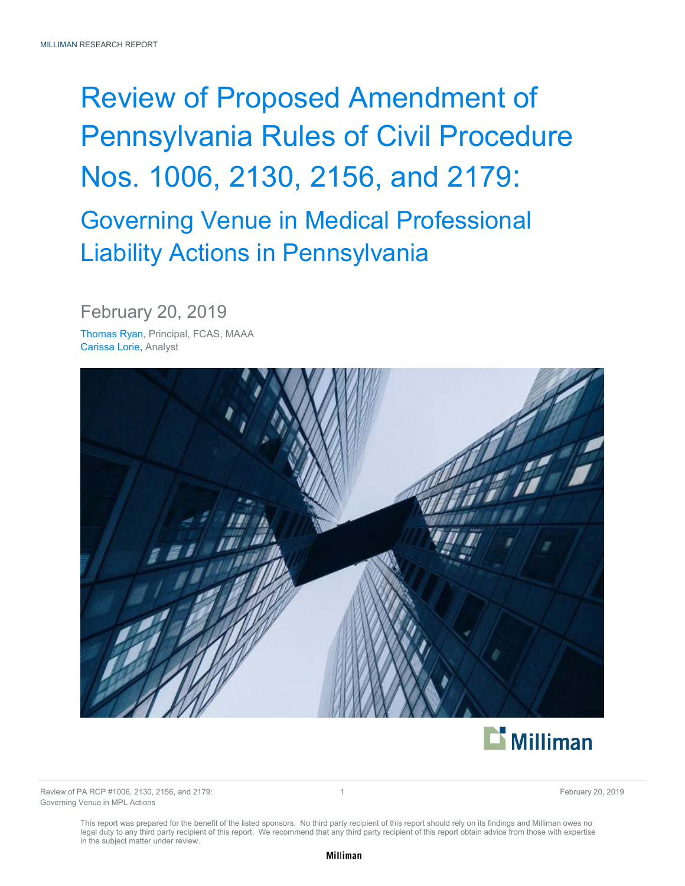# Review of Proposed Amendment of Pennsylvania Rules of Civil Procedure Nos. 1006, 2130, 2156, and 2179: Governing Venue in Medical Professional Liability Actions in Pennsylvania

February 20, 2019

Thomas Ryan, Principal, FCAS, MAAA Carissa Lorie, Analyst





Review of PA RCP #1006, 2130, 2156, and 2179: 1 and 2179 1 and 2008 1 and 2008 1 and 2008 1 and 2008 1 and 200 Governing Venue in MPL Actions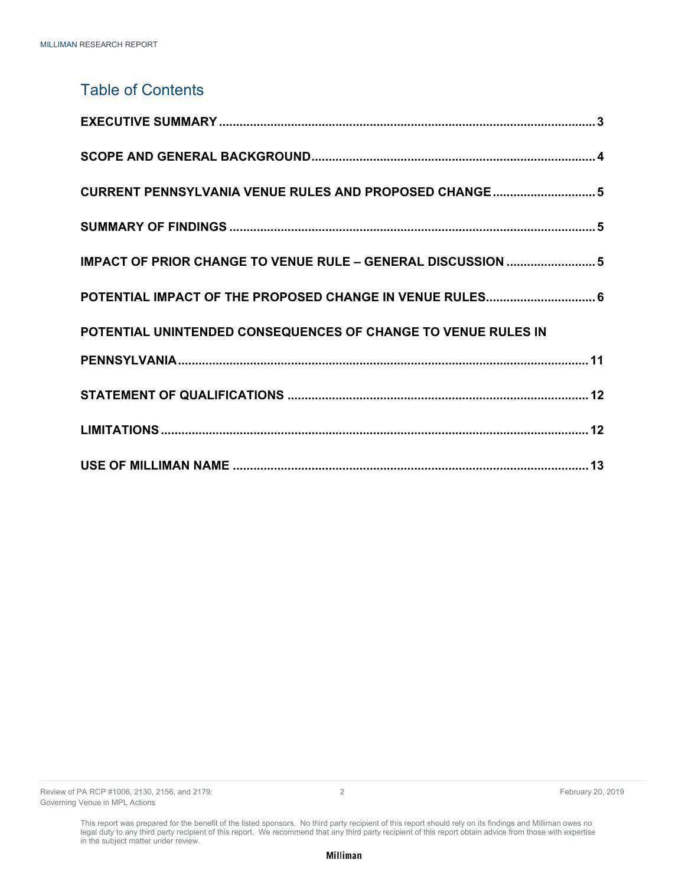### Table of Contents

| CURRENT PENNSYLVANIA VENUE RULES AND PROPOSED CHANGE  5       |
|---------------------------------------------------------------|
|                                                               |
| IMPACT OF PRIOR CHANGE TO VENUE RULE - GENERAL DISCUSSION  5  |
| POTENTIAL IMPACT OF THE PROPOSED CHANGE IN VENUE RULES 6      |
| POTENTIAL UNINTENDED CONSEQUENCES OF CHANGE TO VENUE RULES IN |
|                                                               |
|                                                               |
|                                                               |
|                                                               |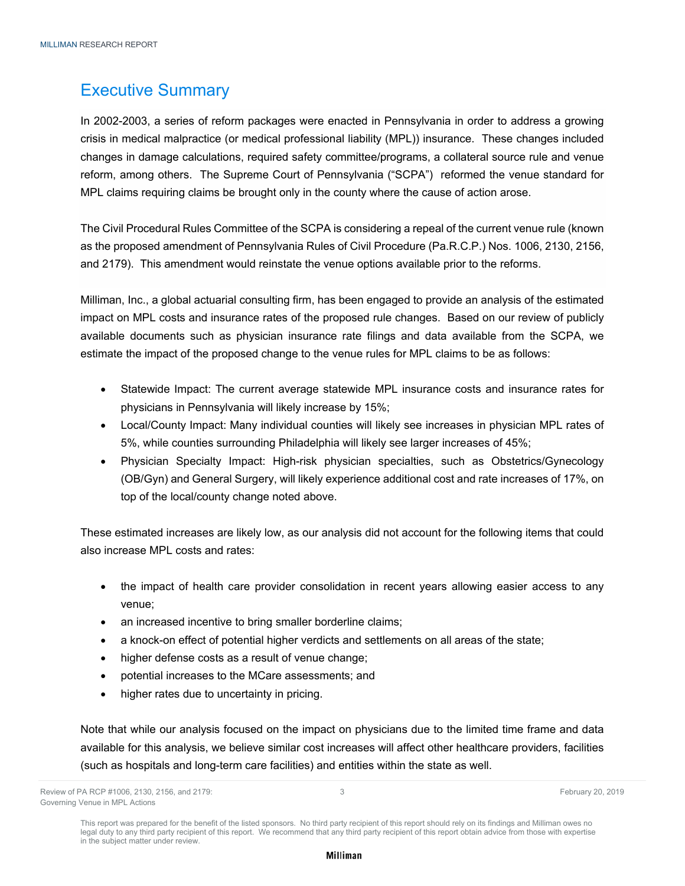# Executive Summary

In 2002-2003, a series of reform packages were enacted in Pennsylvania in order to address a growing crisis in medical malpractice (or medical professional liability (MPL)) insurance. These changes included changes in damage calculations, required safety committee/programs, a collateral source rule and venue reform, among others. The Supreme Court of Pennsylvania ("SCPA") reformed the venue standard for MPL claims requiring claims be brought only in the county where the cause of action arose.

The Civil Procedural Rules Committee of the SCPA is considering a repeal of the current venue rule (known as the proposed amendment of Pennsylvania Rules of Civil Procedure (Pa.R.C.P.) Nos. 1006, 2130, 2156, and 2179). This amendment would reinstate the venue options available prior to the reforms.

Milliman, Inc., a global actuarial consulting firm, has been engaged to provide an analysis of the estimated impact on MPL costs and insurance rates of the proposed rule changes. Based on our review of publicly available documents such as physician insurance rate filings and data available from the SCPA, we estimate the impact of the proposed change to the venue rules for MPL claims to be as follows:

- Statewide Impact: The current average statewide MPL insurance costs and insurance rates for physicians in Pennsylvania will likely increase by 15%;
- Local/County Impact: Many individual counties will likely see increases in physician MPL rates of 5%, while counties surrounding Philadelphia will likely see larger increases of 45%;
- Physician Specialty Impact: High-risk physician specialties, such as Obstetrics/Gynecology (OB/Gyn) and General Surgery, will likely experience additional cost and rate increases of 17%, on top of the local/county change noted above.

These estimated increases are likely low, as our analysis did not account for the following items that could also increase MPL costs and rates:

- the impact of health care provider consolidation in recent years allowing easier access to any venue;
- an increased incentive to bring smaller borderline claims;
- a knock-on effect of potential higher verdicts and settlements on all areas of the state;
- higher defense costs as a result of venue change;
- potential increases to the MCare assessments; and
- higher rates due to uncertainty in pricing.

Note that while our analysis focused on the impact on physicians due to the limited time frame and data available for this analysis, we believe similar cost increases will affect other healthcare providers, facilities (such as hospitals and long-term care facilities) and entities within the state as well.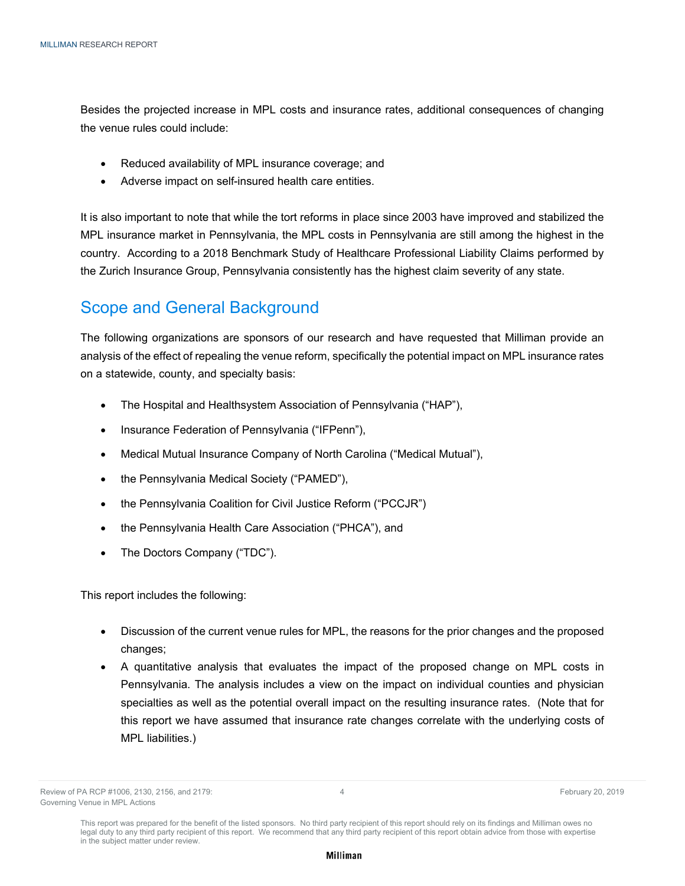Besides the projected increase in MPL costs and insurance rates, additional consequences of changing the venue rules could include:

- Reduced availability of MPL insurance coverage; and
- Adverse impact on self-insured health care entities.

It is also important to note that while the tort reforms in place since 2003 have improved and stabilized the MPL insurance market in Pennsylvania, the MPL costs in Pennsylvania are still among the highest in the country. According to a 2018 Benchmark Study of Healthcare Professional Liability Claims performed by the Zurich Insurance Group, Pennsylvania consistently has the highest claim severity of any state.

# Scope and General Background

The following organizations are sponsors of our research and have requested that Milliman provide an analysis of the effect of repealing the venue reform, specifically the potential impact on MPL insurance rates on a statewide, county, and specialty basis:

- The Hospital and Healthsystem Association of Pennsylvania ("HAP"),
- Insurance Federation of Pennsylvania ("IFPenn"),
- Medical Mutual Insurance Company of North Carolina ("Medical Mutual"),
- the Pennsylvania Medical Society ("PAMED"),
- the Pennsylvania Coalition for Civil Justice Reform ("PCCJR")
- the Pennsylvania Health Care Association ("PHCA"), and
- The Doctors Company ("TDC").

This report includes the following:

- Discussion of the current venue rules for MPL, the reasons for the prior changes and the proposed changes;
- A quantitative analysis that evaluates the impact of the proposed change on MPL costs in Pennsylvania. The analysis includes a view on the impact on individual counties and physician specialties as well as the potential overall impact on the resulting insurance rates. (Note that for this report we have assumed that insurance rate changes correlate with the underlying costs of MPL liabilities.)

Review of PA RCP #1006, 2130, 2156, and 2179:  $\overline{a}$  4  $\overline{a}$  4 February 20, 2019 Governing Venue in MPL Actions

This report was prepared for the benefit of the listed sponsors. No third party recipient of this report should rely on its findings and Milliman owes no legal duty to any third party recipient of this report. We recommend that any third party recipient of this report obtain advice from those with expertise in the subject matter under review.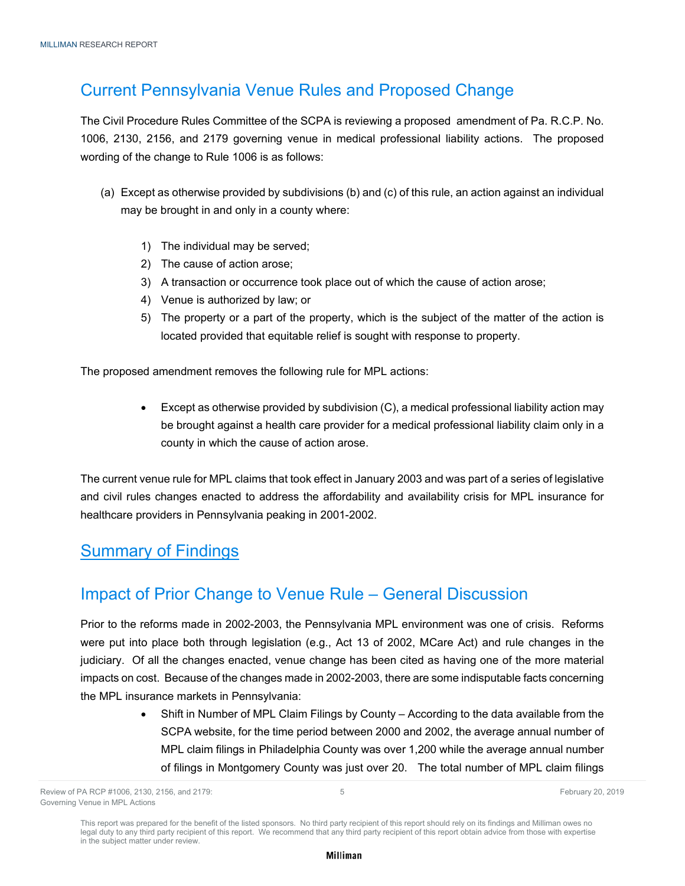# Current Pennsylvania Venue Rules and Proposed Change

The Civil Procedure Rules Committee of the SCPA is reviewing a proposed amendment of Pa. R.C.P. No. 1006, 2130, 2156, and 2179 governing venue in medical professional liability actions. The proposed wording of the change to Rule 1006 is as follows:

- (a) Except as otherwise provided by subdivisions (b) and (c) of this rule, an action against an individual may be brought in and only in a county where:
	- 1) The individual may be served;
	- 2) The cause of action arose;
	- 3) A transaction or occurrence took place out of which the cause of action arose;
	- 4) Venue is authorized by law; or
	- 5) The property or a part of the property, which is the subject of the matter of the action is located provided that equitable relief is sought with response to property.

The proposed amendment removes the following rule for MPL actions:

 Except as otherwise provided by subdivision (C), a medical professional liability action may be brought against a health care provider for a medical professional liability claim only in a county in which the cause of action arose.

The current venue rule for MPL claims that took effect in January 2003 and was part of a series of legislative and civil rules changes enacted to address the affordability and availability crisis for MPL insurance for healthcare providers in Pennsylvania peaking in 2001-2002.

### Summary of Findings

### Impact of Prior Change to Venue Rule – General Discussion

Prior to the reforms made in 2002-2003, the Pennsylvania MPL environment was one of crisis. Reforms were put into place both through legislation (e.g., Act 13 of 2002, MCare Act) and rule changes in the judiciary. Of all the changes enacted, venue change has been cited as having one of the more material impacts on cost. Because of the changes made in 2002-2003, there are some indisputable facts concerning the MPL insurance markets in Pennsylvania:

> Shift in Number of MPL Claim Filings by County – According to the data available from the SCPA website, for the time period between 2000 and 2002, the average annual number of MPL claim filings in Philadelphia County was over 1,200 while the average annual number of filings in Montgomery County was just over 20. The total number of MPL claim filings

This report was prepared for the benefit of the listed sponsors. No third party recipient of this report should rely on its findings and Milliman owes no legal duty to any third party recipient of this report. We recommend that any third party recipient of this report obtain advice from those with expertise in the subject matter under review.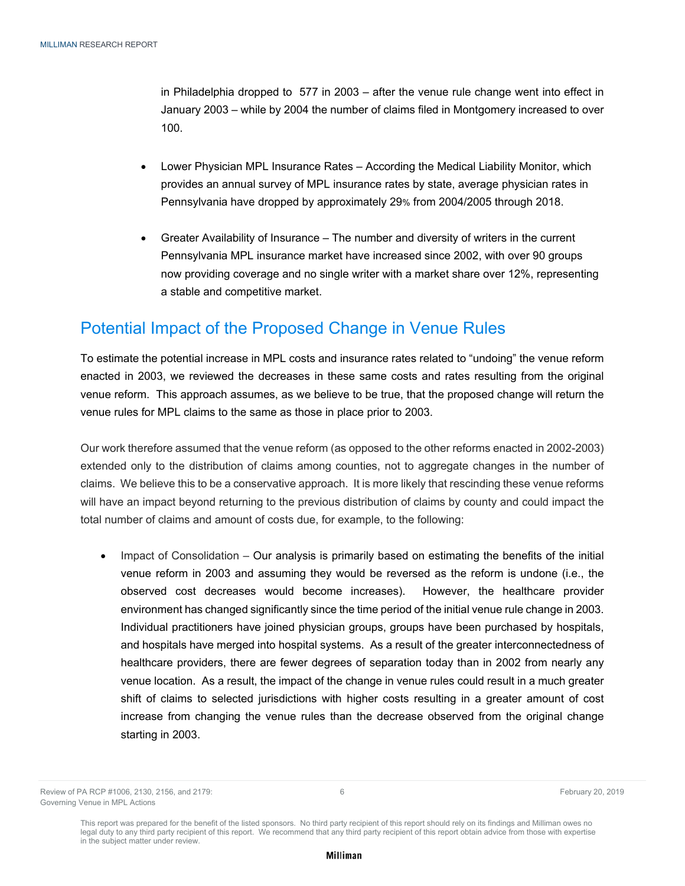in Philadelphia dropped to 577 in 2003 – after the venue rule change went into effect in January 2003 – while by 2004 the number of claims filed in Montgomery increased to over 100.

- Lower Physician MPL Insurance Rates According the Medical Liability Monitor, which provides an annual survey of MPL insurance rates by state, average physician rates in Pennsylvania have dropped by approximately 29% from 2004/2005 through 2018.
- Greater Availability of Insurance The number and diversity of writers in the current Pennsylvania MPL insurance market have increased since 2002, with over 90 groups now providing coverage and no single writer with a market share over 12%, representing a stable and competitive market.

# Potential Impact of the Proposed Change in Venue Rules

To estimate the potential increase in MPL costs and insurance rates related to "undoing" the venue reform enacted in 2003, we reviewed the decreases in these same costs and rates resulting from the original venue reform. This approach assumes, as we believe to be true, that the proposed change will return the venue rules for MPL claims to the same as those in place prior to 2003.

Our work therefore assumed that the venue reform (as opposed to the other reforms enacted in 2002-2003) extended only to the distribution of claims among counties, not to aggregate changes in the number of claims. We believe this to be a conservative approach. It is more likely that rescinding these venue reforms will have an impact beyond returning to the previous distribution of claims by county and could impact the total number of claims and amount of costs due, for example, to the following:

 Impact of Consolidation – Our analysis is primarily based on estimating the benefits of the initial venue reform in 2003 and assuming they would be reversed as the reform is undone (i.e., the observed cost decreases would become increases). However, the healthcare provider environment has changed significantly since the time period of the initial venue rule change in 2003. Individual practitioners have joined physician groups, groups have been purchased by hospitals, and hospitals have merged into hospital systems. As a result of the greater interconnectedness of healthcare providers, there are fewer degrees of separation today than in 2002 from nearly any venue location. As a result, the impact of the change in venue rules could result in a much greater shift of claims to selected jurisdictions with higher costs resulting in a greater amount of cost increase from changing the venue rules than the decrease observed from the original change starting in 2003.

Review of PA RCP #1006, 2130, 2156, and 2179:  $\overline{a}$  6 February 20, 2019 Governing Venue in MPL Actions

This report was prepared for the benefit of the listed sponsors. No third party recipient of this report should rely on its findings and Milliman owes no legal duty to any third party recipient of this report. We recommend that any third party recipient of this report obtain advice from those with expertise in the subject matter under review.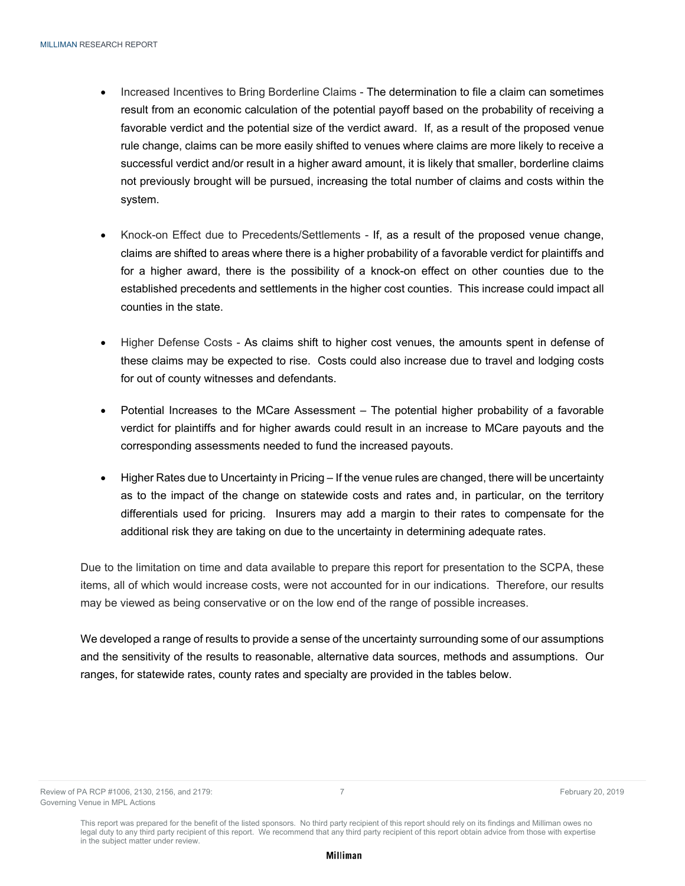- Increased Incentives to Bring Borderline Claims The determination to file a claim can sometimes result from an economic calculation of the potential payoff based on the probability of receiving a favorable verdict and the potential size of the verdict award. If, as a result of the proposed venue rule change, claims can be more easily shifted to venues where claims are more likely to receive a successful verdict and/or result in a higher award amount, it is likely that smaller, borderline claims not previously brought will be pursued, increasing the total number of claims and costs within the system.
- Knock-on Effect due to Precedents/Settlements If, as a result of the proposed venue change, claims are shifted to areas where there is a higher probability of a favorable verdict for plaintiffs and for a higher award, there is the possibility of a knock-on effect on other counties due to the established precedents and settlements in the higher cost counties. This increase could impact all counties in the state.
- Higher Defense Costs As claims shift to higher cost venues, the amounts spent in defense of these claims may be expected to rise. Costs could also increase due to travel and lodging costs for out of county witnesses and defendants.
- Potential Increases to the MCare Assessment The potential higher probability of a favorable verdict for plaintiffs and for higher awards could result in an increase to MCare payouts and the corresponding assessments needed to fund the increased payouts.
- Higher Rates due to Uncertainty in Pricing If the venue rules are changed, there will be uncertainty as to the impact of the change on statewide costs and rates and, in particular, on the territory differentials used for pricing. Insurers may add a margin to their rates to compensate for the additional risk they are taking on due to the uncertainty in determining adequate rates.

Due to the limitation on time and data available to prepare this report for presentation to the SCPA, these items, all of which would increase costs, were not accounted for in our indications. Therefore, our results may be viewed as being conservative or on the low end of the range of possible increases.

We developed a range of results to provide a sense of the uncertainty surrounding some of our assumptions and the sensitivity of the results to reasonable, alternative data sources, methods and assumptions. Our ranges, for statewide rates, county rates and specialty are provided in the tables below.

This report was prepared for the benefit of the listed sponsors. No third party recipient of this report should rely on its findings and Milliman owes no legal duty to any third party recipient of this report. We recommend that any third party recipient of this report obtain advice from those with expertise in the subject matter under review.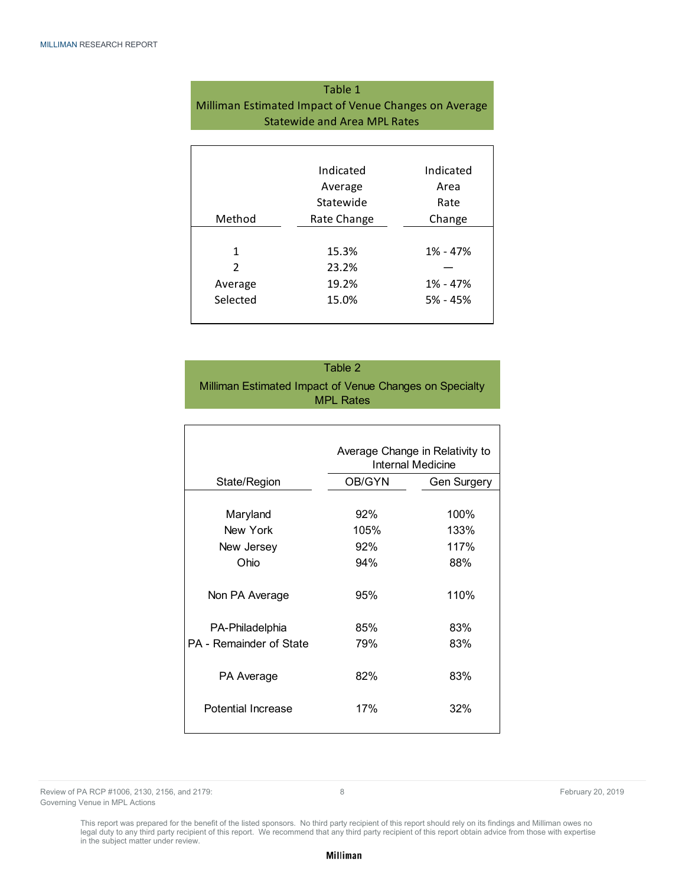| Table 1                                               |
|-------------------------------------------------------|
| Milliman Estimated Impact of Venue Changes on Average |
| <b>Statewide and Area MPL Rates</b>                   |
|                                                       |

|                | Indicated   | Indicated  |
|----------------|-------------|------------|
|                | Average     | Area       |
|                | Statewide   | Rate       |
| Method         | Rate Change | Change     |
|                |             |            |
| $\mathbf{1}$   | 15.3%       | 1% - 47%   |
| $\mathfrak{p}$ | 23.2%       |            |
| Average        | 19.2%       | 1% - 47%   |
| Selected       | 15.0%       | $5% - 45%$ |
|                |             |            |

Table 2 Milliman Estimated Impact of Venue Changes on Specialty MPL Rates

|                                  |            | Average Change in Relativity to<br>Internal Medicine |
|----------------------------------|------------|------------------------------------------------------|
| State/Region                     | OB/GYN     | <b>Gen Surgery</b>                                   |
|                                  |            |                                                      |
| Maryland                         | 92%        | 100%                                                 |
| New York                         | 105%       | 133%                                                 |
| New Jersey                       | 92%        | 117%                                                 |
| Ohio                             | 94%        | 88%                                                  |
| Non PA Average                   | 95%        | 110%                                                 |
| PA-Philadelphia                  | 85%        | 83%                                                  |
| PA - Remainder of State          | 79%        | 83%                                                  |
| PA Average<br>Potential Increase | 82%<br>17% | 83%<br>32%                                           |
|                                  |            |                                                      |

Review of PA RCP #1006, 2130, 2156, and 2179: **8 Review of PA RCP #1006, 2130, 2019 February 20, 2019** Governing Venue in MPL Actions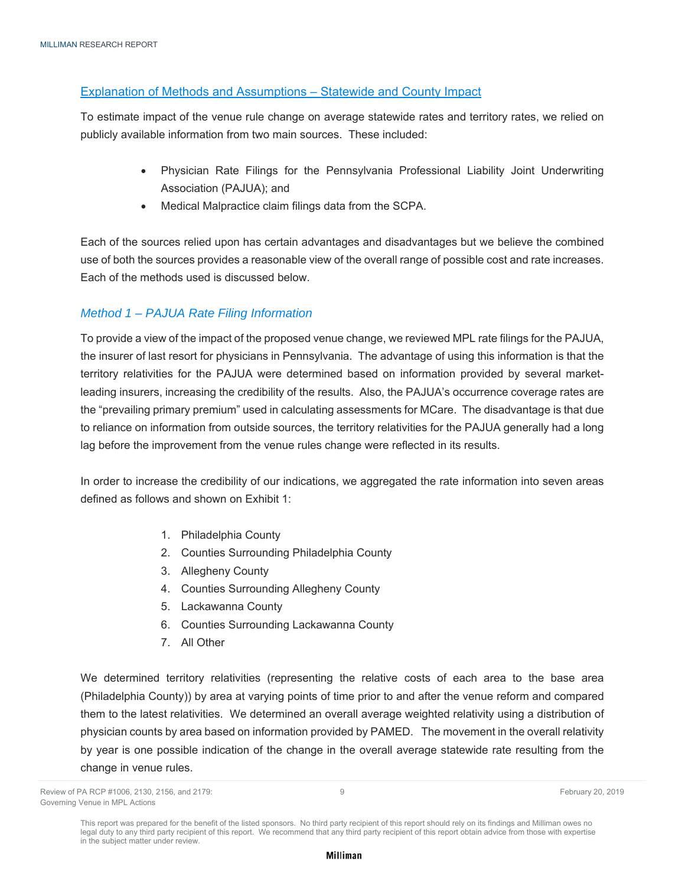### Explanation of Methods and Assumptions – Statewide and County Impact

To estimate impact of the venue rule change on average statewide rates and territory rates, we relied on publicly available information from two main sources. These included:

- Physician Rate Filings for the Pennsylvania Professional Liability Joint Underwriting Association (PAJUA); and
- Medical Malpractice claim filings data from the SCPA.

Each of the sources relied upon has certain advantages and disadvantages but we believe the combined use of both the sources provides a reasonable view of the overall range of possible cost and rate increases. Each of the methods used is discussed below.

### *Method 1 – PAJUA Rate Filing Information*

To provide a view of the impact of the proposed venue change, we reviewed MPL rate filings for the PAJUA, the insurer of last resort for physicians in Pennsylvania. The advantage of using this information is that the territory relativities for the PAJUA were determined based on information provided by several marketleading insurers, increasing the credibility of the results. Also, the PAJUA's occurrence coverage rates are the "prevailing primary premium" used in calculating assessments for MCare. The disadvantage is that due to reliance on information from outside sources, the territory relativities for the PAJUA generally had a long lag before the improvement from the venue rules change were reflected in its results.

In order to increase the credibility of our indications, we aggregated the rate information into seven areas defined as follows and shown on Exhibit 1:

- 1. Philadelphia County
- 2. Counties Surrounding Philadelphia County
- 3. Allegheny County
- 4. Counties Surrounding Allegheny County
- 5. Lackawanna County
- 6. Counties Surrounding Lackawanna County
- 7. All Other

We determined territory relativities (representing the relative costs of each area to the base area (Philadelphia County)) by area at varying points of time prior to and after the venue reform and compared them to the latest relativities. We determined an overall average weighted relativity using a distribution of physician counts by area based on information provided by PAMED. The movement in the overall relativity by year is one possible indication of the change in the overall average statewide rate resulting from the change in venue rules.

Review of PA RCP #1006, 2130, 2156, and 2179: 9 February 20, 2019 Governing Venue in MPL Actions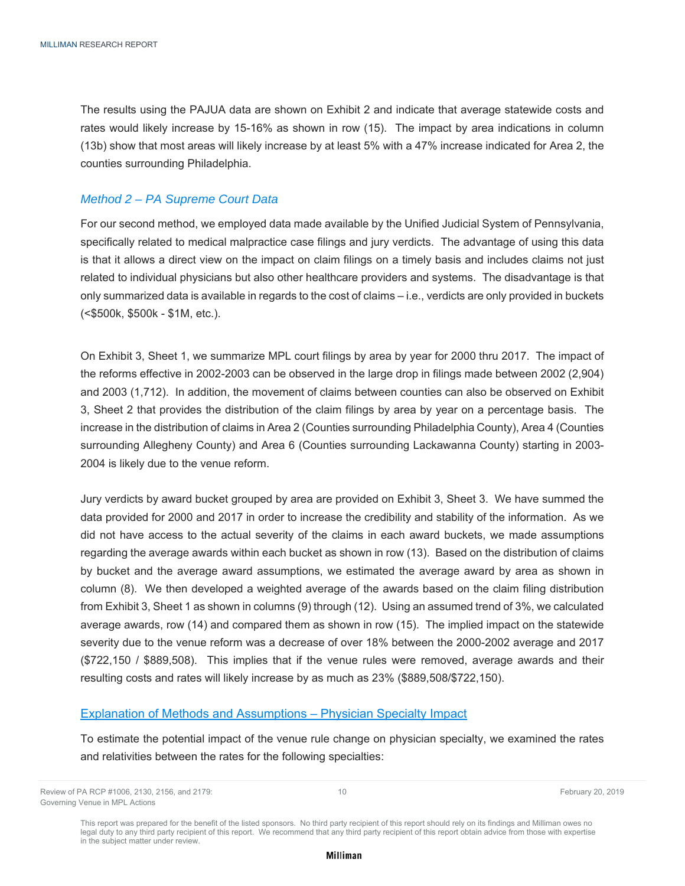The results using the PAJUA data are shown on Exhibit 2 and indicate that average statewide costs and rates would likely increase by 15-16% as shown in row (15). The impact by area indications in column (13b) show that most areas will likely increase by at least 5% with a 47% increase indicated for Area 2, the counties surrounding Philadelphia.

### *Method 2 – PA Supreme Court Data*

For our second method, we employed data made available by the Unified Judicial System of Pennsylvania, specifically related to medical malpractice case filings and jury verdicts. The advantage of using this data is that it allows a direct view on the impact on claim filings on a timely basis and includes claims not just related to individual physicians but also other healthcare providers and systems. The disadvantage is that only summarized data is available in regards to the cost of claims – i.e., verdicts are only provided in buckets (<\$500k, \$500k - \$1M, etc.).

On Exhibit 3, Sheet 1, we summarize MPL court filings by area by year for 2000 thru 2017. The impact of the reforms effective in 2002-2003 can be observed in the large drop in filings made between 2002 (2,904) and 2003 (1,712). In addition, the movement of claims between counties can also be observed on Exhibit 3, Sheet 2 that provides the distribution of the claim filings by area by year on a percentage basis. The increase in the distribution of claims in Area 2 (Counties surrounding Philadelphia County), Area 4 (Counties surrounding Allegheny County) and Area 6 (Counties surrounding Lackawanna County) starting in 2003- 2004 is likely due to the venue reform.

Jury verdicts by award bucket grouped by area are provided on Exhibit 3, Sheet 3. We have summed the data provided for 2000 and 2017 in order to increase the credibility and stability of the information. As we did not have access to the actual severity of the claims in each award buckets, we made assumptions regarding the average awards within each bucket as shown in row (13). Based on the distribution of claims by bucket and the average award assumptions, we estimated the average award by area as shown in column (8). We then developed a weighted average of the awards based on the claim filing distribution from Exhibit 3, Sheet 1 as shown in columns (9) through (12). Using an assumed trend of 3%, we calculated average awards, row (14) and compared them as shown in row (15). The implied impact on the statewide severity due to the venue reform was a decrease of over 18% between the 2000-2002 average and 2017 (\$722,150 / \$889,508). This implies that if the venue rules were removed, average awards and their resulting costs and rates will likely increase by as much as 23% (\$889,508/\$722,150).

#### Explanation of Methods and Assumptions – Physician Specialty Impact

To estimate the potential impact of the venue rule change on physician specialty, we examined the rates and relativities between the rates for the following specialties:

Review of PA RCP #1006, 2130, 2156, and 2179: 10 and 2179 and 2008 10 and 2008 10 and 2008 10 and 2008 10 and 2008 10 and 2008 10 and 2008 10 and 2008 10 and 2179: 10 and 2179: 10 and 2179: 10 and 2008 10 and 2008 10 and 2 Governing Venue in MPL Actions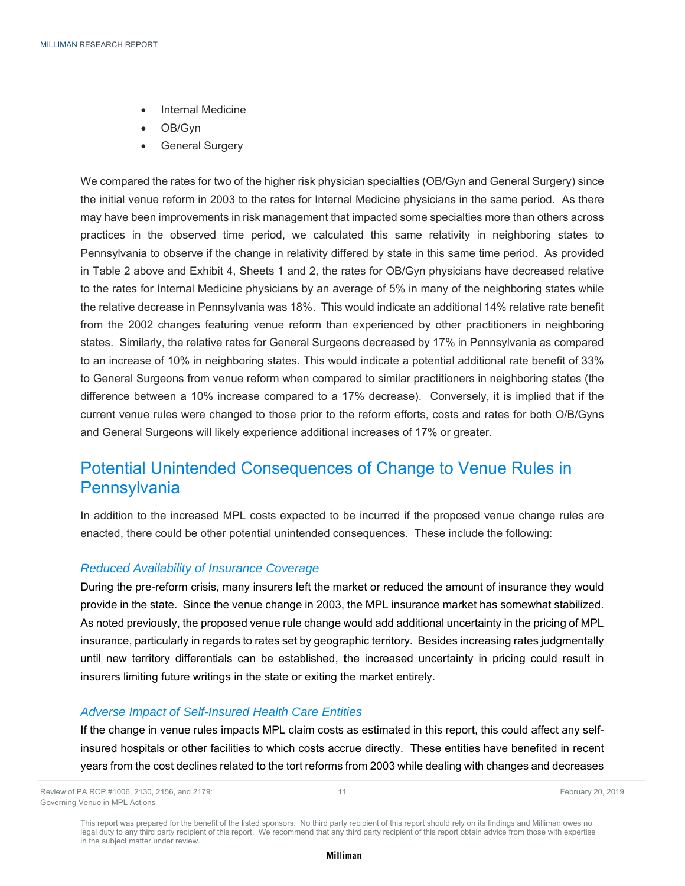- Internal Medicine
- OB/Gyn
- **•** General Surgery

We compared the rates for two of the higher risk physician specialties (OB/Gyn and General Surgery) since the initial venue reform in 2003 to the rates for Internal Medicine physicians in the same period. As there may have been improvements in risk management that impacted some specialties more than others across practices in the observed time period, we calculated this same relativity in neighboring states to Pennsylvania to observe if the change in relativity differed by state in this same time period. As provided in Table 2 above and Exhibit 4, Sheets 1 and 2, the rates for OB/Gyn physicians have decreased relative to the rates for Internal Medicine physicians by an average of 5% in many of the neighboring states while the relative decrease in Pennsylvania was 18%. This would indicate an additional 14% relative rate benefit from the 2002 changes featuring venue reform than experienced by other practitioners in neighboring states. Similarly, the relative rates for General Surgeons decreased by 17% in Pennsylvania as compared to an increase of 10% in neighboring states. This would indicate a potential additional rate benefit of 33% to General Surgeons from venue reform when compared to similar practitioners in neighboring states (the difference between a 10% increase compared to a 17% decrease). Conversely, it is implied that if the current venue rules were changed to those prior to the reform efforts, costs and rates for both O/B/Gyns and General Surgeons will likely experience additional increases of 17% or greater.

### Potential Unintended Consequences of Change to Venue Rules in **Pennsylvania**

In addition to the increased MPL costs expected to be incurred if the proposed venue change rules are enacted, there could be other potential unintended consequences. These include the following:

### *Reduced Availability of Insurance Coverage*

During the pre-reform crisis, many insurers left the market or reduced the amount of insurance they would provide in the state. Since the venue change in 2003, the MPL insurance market has somewhat stabilized. As noted previously, the proposed venue rule change would add additional uncertainty in the pricing of MPL insurance, particularly in regards to rates set by geographic territory. Besides increasing rates judgmentally until new territory differentials can be established, **t**he increased uncertainty in pricing could result in insurers limiting future writings in the state or exiting the market entirely.

### *Adverse Impact of Self-Insured Health Care Entities*

If the change in venue rules impacts MPL claim costs as estimated in this report, this could affect any selfinsured hospitals or other facilities to which costs accrue directly. These entities have benefited in recent years from the cost declines related to the tort reforms from 2003 while dealing with changes and decreases

Review of PA RCP #1006, 2130, 2156, and 2179: 11 February 20, 2019 Governing Venue in MPL Actions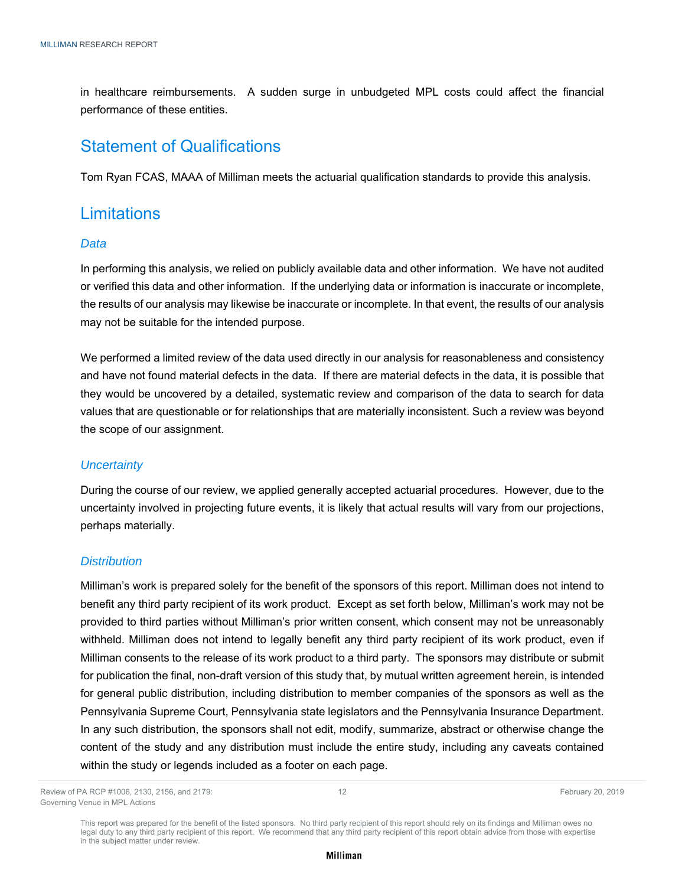in healthcare reimbursements. A sudden surge in unbudgeted MPL costs could affect the financial performance of these entities.

### Statement of Qualifications

Tom Ryan FCAS, MAAA of Milliman meets the actuarial qualification standards to provide this analysis.

### **Limitations**

### *Data*

In performing this analysis, we relied on publicly available data and other information. We have not audited or verified this data and other information. If the underlying data or information is inaccurate or incomplete, the results of our analysis may likewise be inaccurate or incomplete. In that event, the results of our analysis may not be suitable for the intended purpose.

We performed a limited review of the data used directly in our analysis for reasonableness and consistency and have not found material defects in the data. If there are material defects in the data, it is possible that they would be uncovered by a detailed, systematic review and comparison of the data to search for data values that are questionable or for relationships that are materially inconsistent. Such a review was beyond the scope of our assignment.

### *Uncertainty*

During the course of our review, we applied generally accepted actuarial procedures. However, due to the uncertainty involved in projecting future events, it is likely that actual results will vary from our projections, perhaps materially.

### *Distribution*

Milliman's work is prepared solely for the benefit of the sponsors of this report. Milliman does not intend to benefit any third party recipient of its work product. Except as set forth below, Milliman's work may not be provided to third parties without Milliman's prior written consent, which consent may not be unreasonably withheld. Milliman does not intend to legally benefit any third party recipient of its work product, even if Milliman consents to the release of its work product to a third party. The sponsors may distribute or submit for publication the final, non-draft version of this study that, by mutual written agreement herein, is intended for general public distribution, including distribution to member companies of the sponsors as well as the Pennsylvania Supreme Court, Pennsylvania state legislators and the Pennsylvania Insurance Department. In any such distribution, the sponsors shall not edit, modify, summarize, abstract or otherwise change the content of the study and any distribution must include the entire study, including any caveats contained within the study or legends included as a footer on each page.

Review of PA RCP #1006, 2130, 2156, and 2179: 12 12 12 Text 20, 2019 12 February 20, 2019 Governing Venue in MPL Actions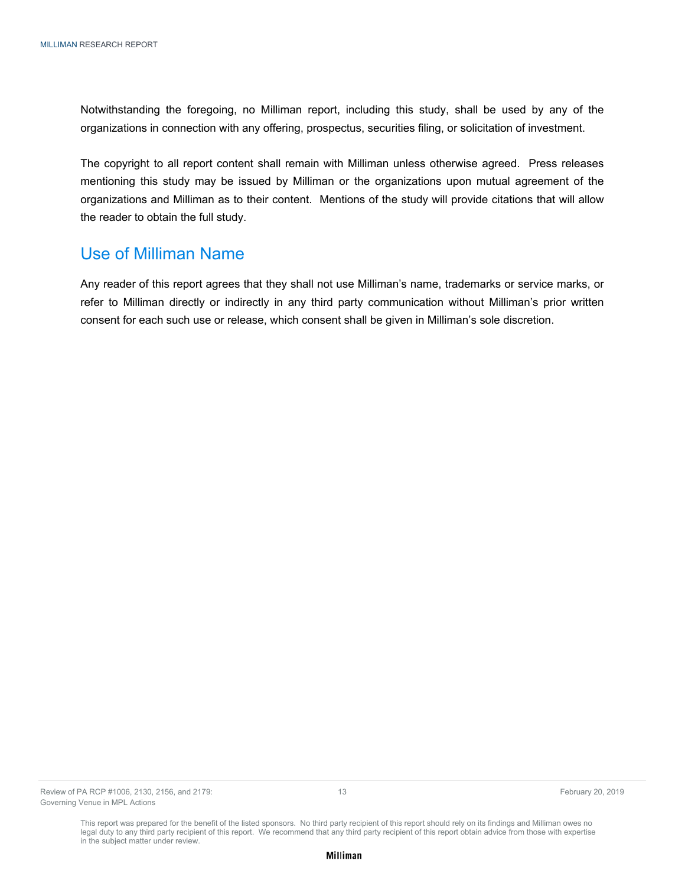Notwithstanding the foregoing, no Milliman report, including this study, shall be used by any of the organizations in connection with any offering, prospectus, securities filing, or solicitation of investment.

The copyright to all report content shall remain with Milliman unless otherwise agreed. Press releases mentioning this study may be issued by Milliman or the organizations upon mutual agreement of the organizations and Milliman as to their content. Mentions of the study will provide citations that will allow the reader to obtain the full study.

### Use of Milliman Name

Any reader of this report agrees that they shall not use Milliman's name, trademarks or service marks, or refer to Milliman directly or indirectly in any third party communication without Milliman's prior written consent for each such use or release, which consent shall be given in Milliman's sole discretion.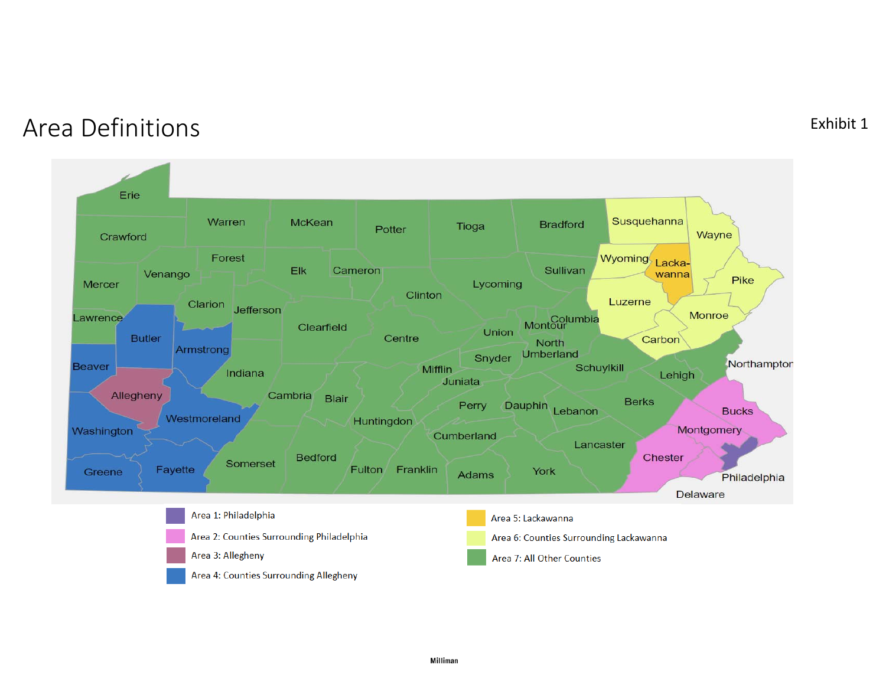# Area Definitions

#### Erie Susquehanna Warren McKean **Bradford** Tioga Potter Wayne Crawford Wyoming Forest Lacka-Sullivan Elk Cameron Venango wanna Pike Lycoming Mercer Clinton Luzerne Clarion **Jefferson** Monroe Montour Lawrence Clearfield Union **Butler** Centre Carbon North Armstrong Umberland Snyder Northampton Schuylkill **Beaver** Mifflin Indiana Lehigh Juniata Allegheny Cambria **Blair Berks** Perry Dauphin Lebanon **Bucks** Westmoreland Huntingdon Montgomery Washington Cumberland Lancaster **Bedford** Chester Somerset Fayette Fulton Franklin York Greene Adams Philadelphia **Delaware** Area 1: Philadelphia Area 5: Lackawanna Area 2: Counties Surrounding Philadelphia Area 6: Counties Surrounding Lackawanna Area 3: Allegheny Area 7: All Other Counties Area 4: Counties Surrounding Allegheny

# Exhibit 1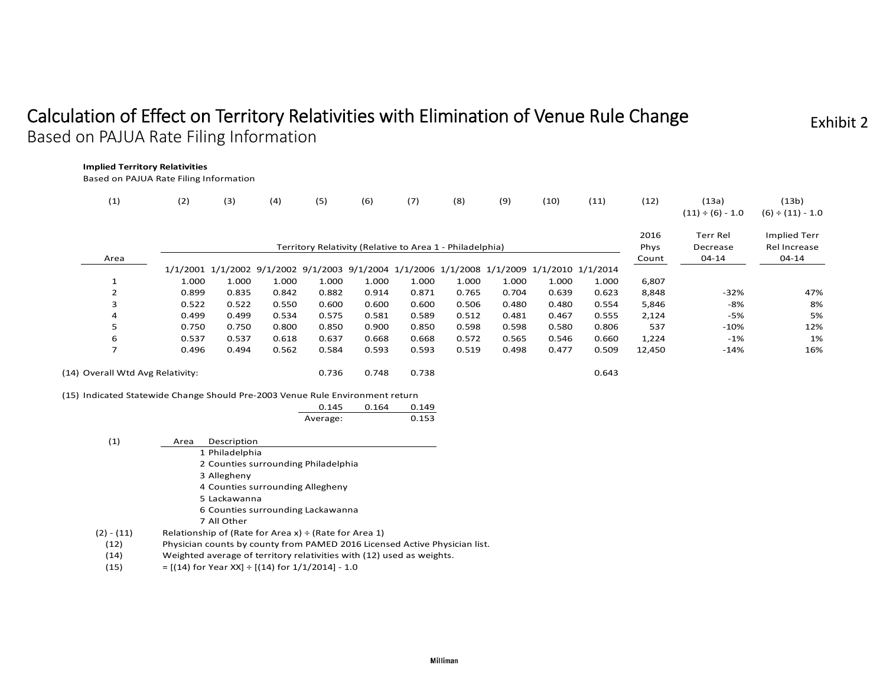# Calculation of Effect on Territory Relativities with Elimination of Venue Rule Change Based on PAJUA Rate Filing Information

Exhibit 2

| (1)            | (2)                                                                           | (3)   | (4)   | (5)      | (6)   | (7)                                                      | (8)   | (9)   | (10)                                                                                      | (11)  | (12)         | (13a)<br>$(11) \div (6) - 1.0$ | (13b)<br>$(6) \div (11) - 1.0$ |
|----------------|-------------------------------------------------------------------------------|-------|-------|----------|-------|----------------------------------------------------------|-------|-------|-------------------------------------------------------------------------------------------|-------|--------------|--------------------------------|--------------------------------|
|                |                                                                               |       |       |          |       | Territory Relativity (Relative to Area 1 - Philadelphia) |       |       |                                                                                           |       | 2016<br>Phys | Terr Rel<br>Decrease           | Implied Terr<br>Rel Increase   |
| Area           |                                                                               |       |       |          |       |                                                          |       |       | 1/1/2001 1/1/2002 9/1/2002 9/1/2003 9/1/2004 1/1/2006 1/1/2008 1/1/2009 1/1/2010 1/1/2014 |       | Count        | $04 - 14$                      | 04-14                          |
|                | 1.000                                                                         | 1.000 | 1.000 | 1.000    | 1.000 | 1.000                                                    | 1.000 | 1.000 | 1.000                                                                                     | 1.000 | 6,807        |                                |                                |
| $\overline{2}$ | 0.899                                                                         | 0.835 | 0.842 | 0.882    | 0.914 | 0.871                                                    | 0.765 | 0.704 | 0.639                                                                                     | 0.623 | 8,848        | $-32%$                         | 47%                            |
| 3              | 0.522                                                                         | 0.522 | 0.550 | 0.600    | 0.600 | 0.600                                                    | 0.506 | 0.480 | 0.480                                                                                     | 0.554 | 5,846        | -8%                            | 8%                             |
| 4              | 0.499                                                                         | 0.499 | 0.534 | 0.575    | 0.581 | 0.589                                                    | 0.512 | 0.481 | 0.467                                                                                     | 0.555 | 2,124        | -5%                            | 5%                             |
| 5              | 0.750                                                                         | 0.750 | 0.800 | 0.850    | 0.900 | 0.850                                                    | 0.598 | 0.598 | 0.580                                                                                     | 0.806 | 537          | $-10%$                         | 12%                            |
| 6              | 0.537                                                                         | 0.537 | 0.618 | 0.637    | 0.668 | 0.668                                                    | 0.572 | 0.565 | 0.546                                                                                     | 0.660 | 1,224        | $-1\%$                         | 1%                             |
| $\overline{7}$ | 0.496                                                                         | 0.494 | 0.562 | 0.584    | 0.593 | 0.593                                                    | 0.519 | 0.498 | 0.477                                                                                     | 0.509 | 12,450       | $-14%$                         | 16%                            |
|                | (14) Overall Wtd Avg Relativity:                                              |       |       | 0.736    | 0.748 | 0.738                                                    |       |       |                                                                                           | 0.643 |              |                                |                                |
|                | (15) Indicated Statewide Change Should Pre-2003 Venue Rule Environment return |       |       |          |       |                                                          |       |       |                                                                                           |       |              |                                |                                |
|                |                                                                               |       |       | 0.145    | 0.164 | 0.149                                                    |       |       |                                                                                           |       |              |                                |                                |
|                |                                                                               |       |       | Average: |       | 0.153                                                    |       |       |                                                                                           |       |              |                                |                                |

| $\left( 1\right)$ | Description<br>Area                                                        |
|-------------------|----------------------------------------------------------------------------|
|                   | 1 Philadelphia                                                             |
|                   | 2 Counties surrounding Philadelphia                                        |
|                   | 3 Allegheny                                                                |
|                   | 4 Counties surrounding Allegheny                                           |
|                   | 5 Lackawanna                                                               |
|                   | 6 Counties surrounding Lackawanna                                          |
|                   | 7 All Other                                                                |
| $(2) - (11)$      | Relationship of (Rate for Area x) $\div$ (Rate for Area 1)                 |
| (12)              | Physician counts by county from PAMED 2016 Licensed Active Physician list. |

- (14) Weighted average of territory relativities with (12) used as weights.
- (15)  $=[(14)$  for Year XX] ÷  $[(14)$  for  $1/1/2014]$  1.0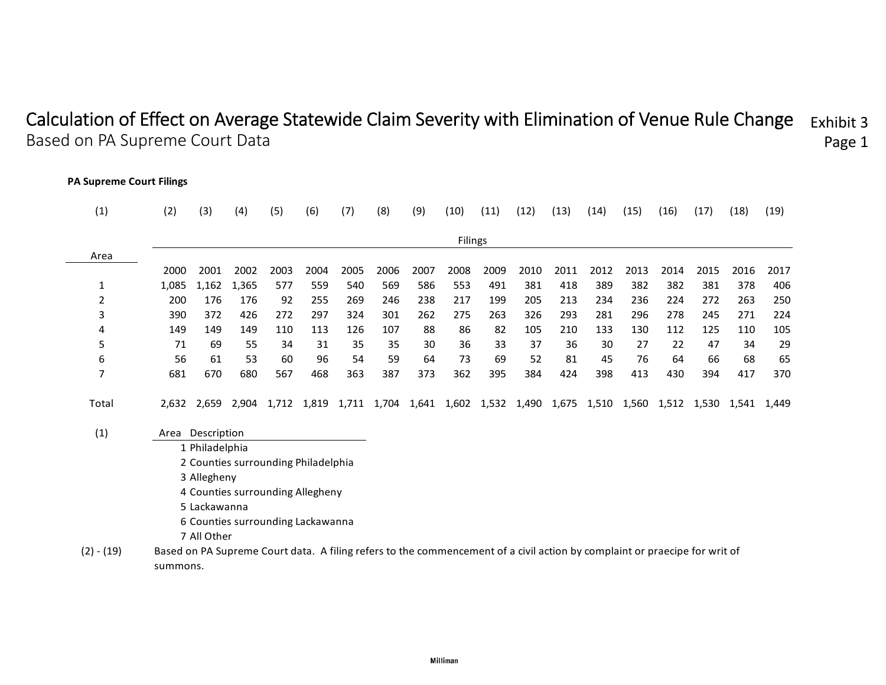#### Calculation of Effect on Average Statewide Claim Severity with Elimination of Venue Rule Change Based on PA Supreme Court Data Exhibit 3 Page 1

**PA Supreme Court Filings**

| (1)          | (2)                                                                                                                        | (3)                                 | (4)   | (5)   | (6)   | (7)   | (8)  | (9)         | (10)    | (11) | (12)              | (13) | (14)  | (15)  | (16)  | (17)  | (18)  | (19)  |
|--------------|----------------------------------------------------------------------------------------------------------------------------|-------------------------------------|-------|-------|-------|-------|------|-------------|---------|------|-------------------|------|-------|-------|-------|-------|-------|-------|
|              |                                                                                                                            |                                     |       |       |       |       |      |             | Filings |      |                   |      |       |       |       |       |       |       |
| Area         |                                                                                                                            |                                     |       |       |       |       |      |             |         |      |                   |      |       |       |       |       |       |       |
|              | 2000                                                                                                                       | 2001                                | 2002  | 2003  | 2004  | 2005  | 2006 | 2007        | 2008    | 2009 | 2010              | 2011 | 2012  | 2013  | 2014  | 2015  | 2016  | 2017  |
| 1            | 1,085                                                                                                                      | 1,162                               | 1,365 | 577   | 559   | 540   | 569  | 586         | 553     | 491  | 381               | 418  | 389   | 382   | 382   | 381   | 378   | 406   |
| 2            | 200                                                                                                                        | 176                                 | 176   | 92    | 255   | 269   | 246  | 238         | 217     | 199  | 205               | 213  | 234   | 236   | 224   | 272   | 263   | 250   |
| 3            | 390                                                                                                                        | 372                                 | 426   | 272   | 297   | 324   | 301  | 262         | 275     | 263  | 326               | 293  | 281   | 296   | 278   | 245   | 271   | 224   |
| 4            | 149                                                                                                                        | 149                                 | 149   | 110   | 113   | 126   | 107  | 88          | 86      | 82   | 105               | 210  | 133   | 130   | 112   | 125   | 110   | 105   |
| 5            | 71                                                                                                                         | 69                                  | 55    | 34    | 31    | 35    | 35   | 30          | 36      | 33   | 37                | 36   | 30    | 27    | 22    | 47    | 34    | 29    |
| 6            | 56                                                                                                                         | 61                                  | 53    | 60    | 96    | 54    | 59   | 64          | 73      | 69   | 52                | 81   | 45    | 76    | 64    | 66    | 68    | 65    |
| 7            | 681                                                                                                                        | 670                                 | 680   | 567   | 468   | 363   | 387  | 373         | 362     | 395  | 384               | 424  | 398   | 413   | 430   | 394   | 417   | 370   |
| Total        | 2.632                                                                                                                      | 2,659                               | 2,904 | 1,712 | 1,819 | 1,711 |      | 1,704 1,641 | 1,602   |      | 1,532 1,490 1,675 |      | 1,510 | 1,560 | 1,512 | 1,530 | 1,541 | 1,449 |
| (1)          |                                                                                                                            | Area Description                    |       |       |       |       |      |             |         |      |                   |      |       |       |       |       |       |       |
|              |                                                                                                                            | 1 Philadelphia                      |       |       |       |       |      |             |         |      |                   |      |       |       |       |       |       |       |
|              |                                                                                                                            | 2 Counties surrounding Philadelphia |       |       |       |       |      |             |         |      |                   |      |       |       |       |       |       |       |
|              |                                                                                                                            | 3 Allegheny                         |       |       |       |       |      |             |         |      |                   |      |       |       |       |       |       |       |
|              |                                                                                                                            | 4 Counties surrounding Allegheny    |       |       |       |       |      |             |         |      |                   |      |       |       |       |       |       |       |
|              |                                                                                                                            | 5 Lackawanna                        |       |       |       |       |      |             |         |      |                   |      |       |       |       |       |       |       |
|              |                                                                                                                            | 6 Counties surrounding Lackawanna   |       |       |       |       |      |             |         |      |                   |      |       |       |       |       |       |       |
|              |                                                                                                                            | 7 All Other                         |       |       |       |       |      |             |         |      |                   |      |       |       |       |       |       |       |
| $(2) - (19)$ | Based on PA Supreme Court data. A filing refers to the commencement of a civil action by complaint or praecipe for writ of |                                     |       |       |       |       |      |             |         |      |                   |      |       |       |       |       |       |       |
|              | summons.                                                                                                                   |                                     |       |       |       |       |      |             |         |      |                   |      |       |       |       |       |       |       |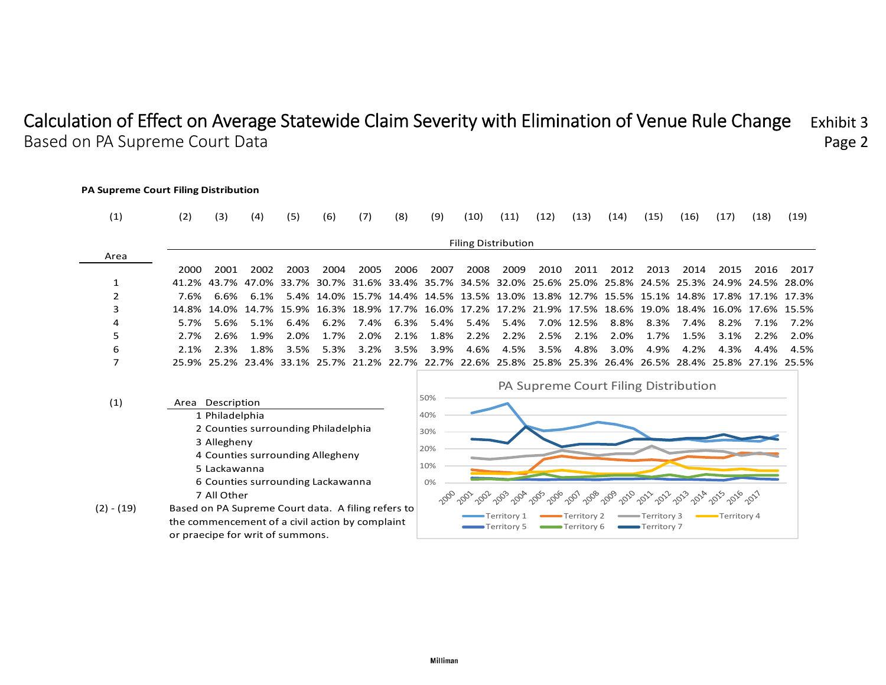#### Calculation of Effect on Average Statewide Claim Severity with Elimination of Venue Rule Change Based on PA Supreme Court Data Exhibit 3Page 2

#### **PA Supreme Court Filing Distribution** (1) (2) (3) (4) (5) (6) (7) (8) (9) (10) (11) (12) (13) (14) (15) (16) (17) (18) (19) Filing Distribution Area2000 2001 2002 2003 2004 2005 2006 2007 2008 2009 2010 2011 2012 2013 2014 2015 2016 2017 1 41.2% 43.7% 47.0% 33.7% 30.7% 31.6% 33.4% 35.7% 34.5% 32.0% 25.6% 25.0% 25.8% 24.5% 25.3% 24.9% 24.5% 28.0% 2 7.6% 6.6% 6.1% 5.4% 14.0% 15.7% 14.4% 14.5% 13.5% 13.0% 13.8% 12.7% 15.5% 15.1% 14.8% 17.8% 17.1% 17.3% 3 14.8% 14.0% 14.7% 15.9% 16.3% 18.9% 17.7% 16.0% 17.2% 17.2% 21.9% 17.5% 18.6% 19.0% 18.4% 16.0% 17.6% 15.5% 4 5.7% 5.6% 5.1% 6.4% 6.2% 7.4% 6.3% 5.4% 5.4% 5.4% 7.0% 12.5% 8.8% 8.3% 7.4% 8.2% 7.1% 7.2% 5 2.7% 2.6% 1.9% 2.0% 1.7% 2.0% 2.1% 1.8% 2.2% 2.2% 2.5% 2.1% 2.0% 1.7% 1.5% 3.1% 2.2% 2.0% 6 2.1% 2.3% 1.8% 3.5% 5.3% 3.2% 3.5% 3.9% 4.6% 4.5% 3.5% 4.8% 3.0% 4.9% 4.2% 4.3% 4.4% 4.5% 7 25.9% 25.2% 23.4% 33.1% 25.7% 21.2% 22.7% 22.7% 22.6% 25.8% 25.8% 25.3% 26.4% 26.5% 28.4% 25.8% 27.1% 25.5% PA Supreme Court Filing Distribution 50% (1) Area Description 1 Philadelphia 40%2 Counties surrounding Philadelphia 30%3 Allegheny 20%4 Counties surrounding Allegheny 10%5 Lackawanna 6 Counties surrounding Lackawanna 0%2000 2011 2022 2013 7 All Other  $\sim$ (2) ‐ (19) Based on PA Supreme Court data. A filing refers to Territory 1 Territory 2  $\longrightarrow$  Territory 3  $\longrightarrow$  Territory 4 the commencement of a civil action by complaint Territory 5 Territory 6 Territory 7 or praecipe for writ of summons.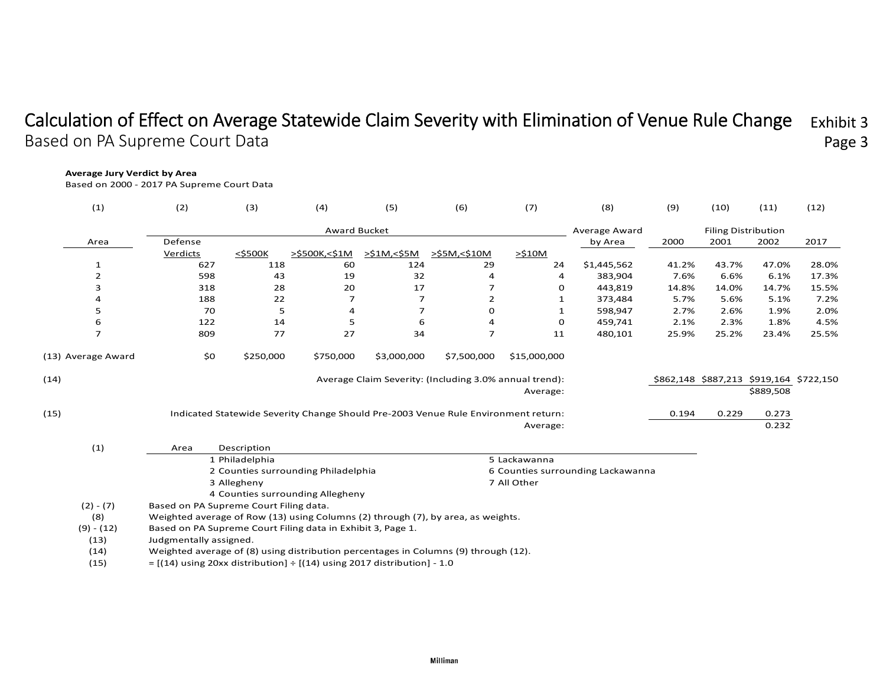#### Calculation of Effect on Average Statewide Claim Severity with Elimination of Venue Rule Change Based on PA Supreme Court Data Exhibit 3 Page 3

#### **Average Jury Verdict by Area**

Based on 2000 ‐ 2017 PA Supreme Court Data

| (1)                | (2)                                                                                 | (3)            | (4)                                 | (5)         | (6)                                                                                | (7)          | (8)                               | (9)   | (10)                       | (11)                                    | (12)  |
|--------------------|-------------------------------------------------------------------------------------|----------------|-------------------------------------|-------------|------------------------------------------------------------------------------------|--------------|-----------------------------------|-------|----------------------------|-----------------------------------------|-------|
|                    |                                                                                     |                | <b>Award Bucket</b>                 |             |                                                                                    |              | <b>Average Award</b>              |       | <b>Filing Distribution</b> |                                         |       |
| Area               | Defense                                                                             |                |                                     |             |                                                                                    |              | by Area                           | 2000  | 2001                       | 2002                                    | 2017  |
|                    | Verdicts                                                                            | $<$ \$500K     | >\$500K,<\$1M                       | >\$1M,<\$5M | >\$5M,<\$10M                                                                       | $>$ \$10M    |                                   |       |                            |                                         |       |
| 1                  | 627                                                                                 | 118            | 60                                  | 124         | 29                                                                                 | 24           | \$1,445,562                       | 41.2% | 43.7%                      | 47.0%                                   | 28.0% |
| $\overline{2}$     | 598                                                                                 | 43             | 19                                  | 32          | 4                                                                                  | 4            | 383,904                           | 7.6%  | 6.6%                       | 6.1%                                    | 17.3% |
| 3                  | 318                                                                                 | 28             | 20                                  | 17          | 7                                                                                  | 0            | 443,819                           | 14.8% | 14.0%                      | 14.7%                                   | 15.5% |
| 4                  | 188                                                                                 | 22             |                                     | 7           | $\overline{2}$                                                                     |              | 373,484                           | 5.7%  | 5.6%                       | 5.1%                                    | 7.2%  |
| 5                  | 70                                                                                  | 5              | 4                                   | 7           | 0                                                                                  | 1            | 598,947                           | 2.7%  | 2.6%                       | 1.9%                                    | 2.0%  |
| 6                  | 122                                                                                 | 14             | 5                                   | 6           | 4                                                                                  | 0            | 459,741                           | 2.1%  | 2.3%                       | 1.8%                                    | 4.5%  |
| $\overline{ }$     | 809                                                                                 | 77             | 27                                  | 34          | $\overline{7}$                                                                     | 11           | 480,101                           | 25.9% | 25.2%                      | 23.4%                                   | 25.5% |
| (13) Average Award | \$0                                                                                 | \$250,000      | \$750,000                           | \$3,000,000 | \$7,500,000                                                                        | \$15,000,000 |                                   |       |                            |                                         |       |
| (14)               |                                                                                     |                |                                     |             | Average Claim Severity: (Including 3.0% annual trend):                             |              |                                   |       |                            | \$862,148 \$887,213 \$919,164 \$722,150 |       |
|                    |                                                                                     |                |                                     |             |                                                                                    | Average:     |                                   |       |                            | \$889,508                               |       |
| (15)               |                                                                                     |                |                                     |             | Indicated Statewide Severity Change Should Pre-2003 Venue Rule Environment return: |              |                                   | 0.194 | 0.229                      | 0.273                                   |       |
|                    |                                                                                     |                |                                     |             |                                                                                    | Average:     |                                   |       |                            | 0.232                                   |       |
| (1)                | Area                                                                                | Description    |                                     |             |                                                                                    |              |                                   |       |                            |                                         |       |
|                    |                                                                                     | 1 Philadelphia |                                     |             |                                                                                    | 5 Lackawanna |                                   |       |                            |                                         |       |
|                    |                                                                                     |                | 2 Counties surrounding Philadelphia |             |                                                                                    |              | 6 Counties surrounding Lackawanna |       |                            |                                         |       |
|                    |                                                                                     | 3 Allegheny    |                                     |             |                                                                                    | 7 All Other  |                                   |       |                            |                                         |       |
|                    |                                                                                     |                | 4 Counties surrounding Allegheny    |             |                                                                                    |              |                                   |       |                            |                                         |       |
| $(2) - (7)$        | Based on PA Supreme Court Filing data.                                              |                |                                     |             |                                                                                    |              |                                   |       |                            |                                         |       |
| (8)                | Weighted average of Row (13) using Columns (2) through (7), by area, as weights.    |                |                                     |             |                                                                                    |              |                                   |       |                            |                                         |       |
| $(9) - (12)$       | Based on PA Supreme Court Filing data in Exhibit 3, Page 1.                         |                |                                     |             |                                                                                    |              |                                   |       |                            |                                         |       |
| (13)               | Judgmentally assigned.                                                              |                |                                     |             |                                                                                    |              |                                   |       |                            |                                         |       |
| (14)               | Weighted average of (8) using distribution percentages in Columns (9) through (12). |                |                                     |             |                                                                                    |              |                                   |       |                            |                                         |       |
| (15)               | $= [(14)$ using 20xx distribution] $\div [(14)$ using 2017 distribution] - 1.0      |                |                                     |             |                                                                                    |              |                                   |       |                            |                                         |       |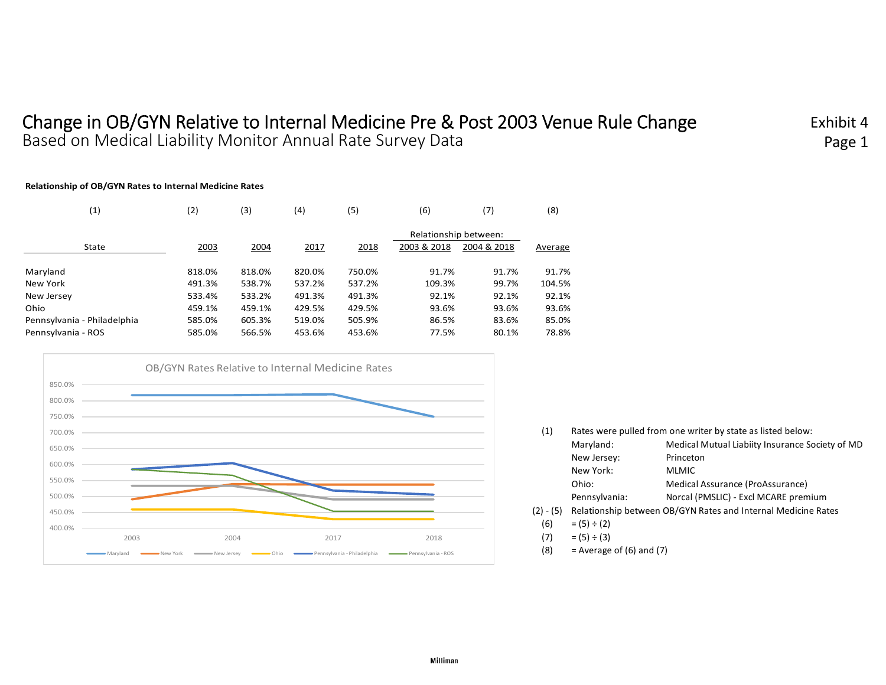# Change in OB/GYN Relative to Internal Medicine Pre & Post 2003 Venue Rule Change Based on Medical Liability Monitor Annual Rate Survey Data

Exhibit 4Page 1

#### **Relationship of OB/GYN Rates to Internal Medicine Rates**

| (1)                         | (2)    | (3)    | (4)    | (5)    | (6)                   | (7)         | (8)     |
|-----------------------------|--------|--------|--------|--------|-----------------------|-------------|---------|
|                             |        |        |        |        | Relationship between: |             |         |
| State                       | 2003   | 2004   | 2017   | 2018   | 2003 & 2018           | 2004 & 2018 | Average |
| Maryland                    | 818.0% | 818.0% | 820.0% | 750.0% | 91.7%                 | 91.7%       | 91.7%   |
| New York                    | 491.3% | 538.7% | 537.2% | 537.2% | 109.3%                | 99.7%       | 104.5%  |
| New Jersey                  | 533.4% | 533.2% | 491.3% | 491.3% | 92.1%                 | 92.1%       | 92.1%   |
| Ohio                        | 459.1% | 459.1% | 429.5% | 429.5% | 93.6%                 | 93.6%       | 93.6%   |
| Pennsylvania - Philadelphia | 585.0% | 605.3% | 519.0% | 505.9% | 86.5%                 | 83.6%       | 85.0%   |
| Pennsylvania - ROS          | 585.0% | 566.5% | 453.6% | 453.6% | 77.5%                 | 80.1%       | 78.8%   |



| (1)         |                  | Rates were pulled from one writer by state as listed below:   |
|-------------|------------------|---------------------------------------------------------------|
|             | Maryland:        | Medical Mutual Liabiity Insurance Society of MD               |
|             | New Jersey:      | Princeton                                                     |
|             | New York:        | <b>MLMIC</b>                                                  |
|             | Ohio:            | Medical Assurance (ProAssurance)                              |
|             | Pennsylvania:    | Norcal (PMSLIC) - Excl MCARE premium                          |
| $(2) - (5)$ |                  | Relationship between OB/GYN Rates and Internal Medicine Rates |
| (6)         | $= (5) \div (2)$ |                                                               |
| (7)         | $= (5) \div (3)$ |                                                               |

 $(8)$  = Average of  $(6)$  and  $(7)$